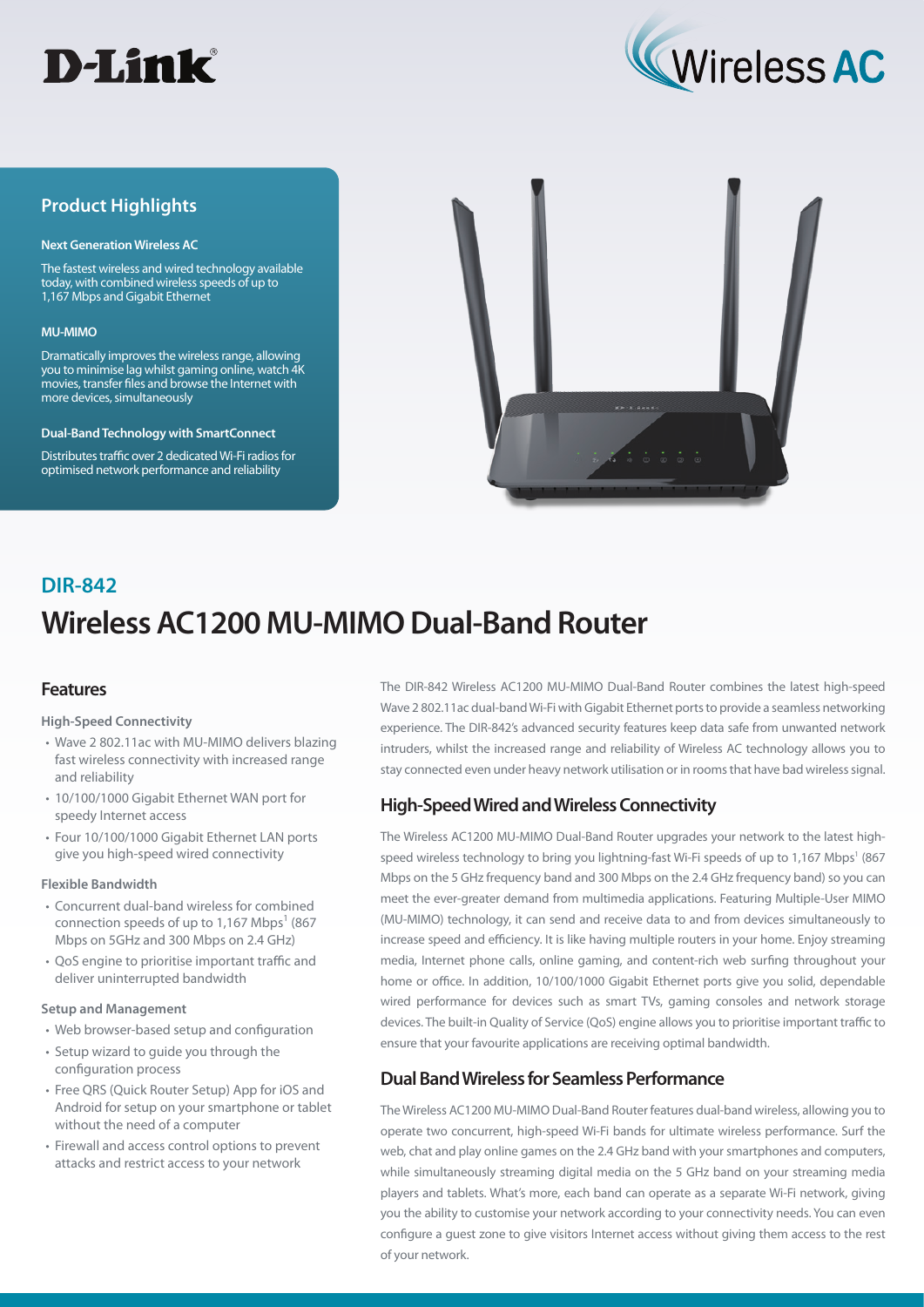



## **Product Highlights**

#### **Next Generation Wireless AC**

The fastest wireless and wired technology available today, with combined wireless speeds of up to 1,167 Mbps and Gigabit Ethernet

#### **MU-MIMO**

Dramatically improves the wireless range, allowing you to minimise lag whilst gaming online, watch 4K movies, transfer files and browse the Internet with more devices, simultaneously

#### **Dual-Band Technology with SmartConnect**

Distributes traffic over 2 dedicated Wi-Fi radios for optimised network performance and reliability



# **Wireless AC1200 MU-MIMO Dual-Band Router DIR-842**

## **Features**

#### **High-Speed Connectivity**

- Wave 2 802.11ac with MU-MIMO delivers blazing fast wireless connectivity with increased range and reliability
- 10/100/1000 Gigabit Ethernet WAN port for speedy Internet access
- Four 10/100/1000 Gigabit Ethernet LAN ports give you high-speed wired connectivity

#### **Flexible Bandwidth**

- Concurrent dual-band wireless for combined connection speeds of up to 1,167 Mbps<sup>1</sup> (867) Mbps on 5GHz and 300 Mbps on 2.4 GHz)
- QoS engine to prioritise important traffic and deliver uninterrupted bandwidth

#### **Setup and Management**

- Web browser-based setup and configuration
- Setup wizard to guide you through the configuration process
- Free QRS (Quick Router Setup) App for iOS and Android for setup on your smartphone or tablet without the need of a computer
- Firewall and access control options to prevent attacks and restrict access to your network

The DIR-842 Wireless AC1200 MU-MIMO Dual-Band Router combines the latest high-speed Wave 2 802.11ac dual-band Wi-Fi with Gigabit Ethernet ports to provide a seamless networking experience. The DIR-842's advanced security features keep data safe from unwanted network intruders, whilst the increased range and reliability of Wireless AC technology allows you to stay connected even under heavy network utilisation or in rooms that have bad wireless signal.

## **High-Speed Wired and Wireless Connectivity**

The Wireless AC1200 MU-MIMO Dual-Band Router upgrades your network to the latest highspeed wireless technology to bring you lightning-fast Wi-Fi speeds of up to 1,167 Mbps<sup>1</sup> (867 Mbps on the 5 GHz frequency band and 300 Mbps on the 2.4 GHz frequency band) so you can meet the ever-greater demand from multimedia applications. Featuring Multiple-User MIMO (MU-MIMO) technology, it can send and receive data to and from devices simultaneously to increase speed and efficiency. It is like having multiple routers in your home. Enjoy streaming media, Internet phone calls, online gaming, and content-rich web surfing throughout your home or office. In addition, 10/100/1000 Gigabit Ethernet ports give you solid, dependable wired performance for devices such as smart TVs, gaming consoles and network storage devices. The built-in Quality of Service (QoS) engine allows you to prioritise important traffic to ensure that your favourite applications are receiving optimal bandwidth.

## **Dual Band Wireless for Seamless Performance**

The Wireless AC1200 MU-MIMO Dual-Band Router features dual-band wireless, allowing you to operate two concurrent, high-speed Wi-Fi bands for ultimate wireless performance. Surf the web, chat and play online games on the 2.4 GHz band with your smartphones and computers, while simultaneously streaming digital media on the 5 GHz band on your streaming media players and tablets. What's more, each band can operate as a separate Wi-Fi network, giving you the ability to customise your network according to your connectivity needs. You can even configure a guest zone to give visitors Internet access without giving them access to the rest of your network.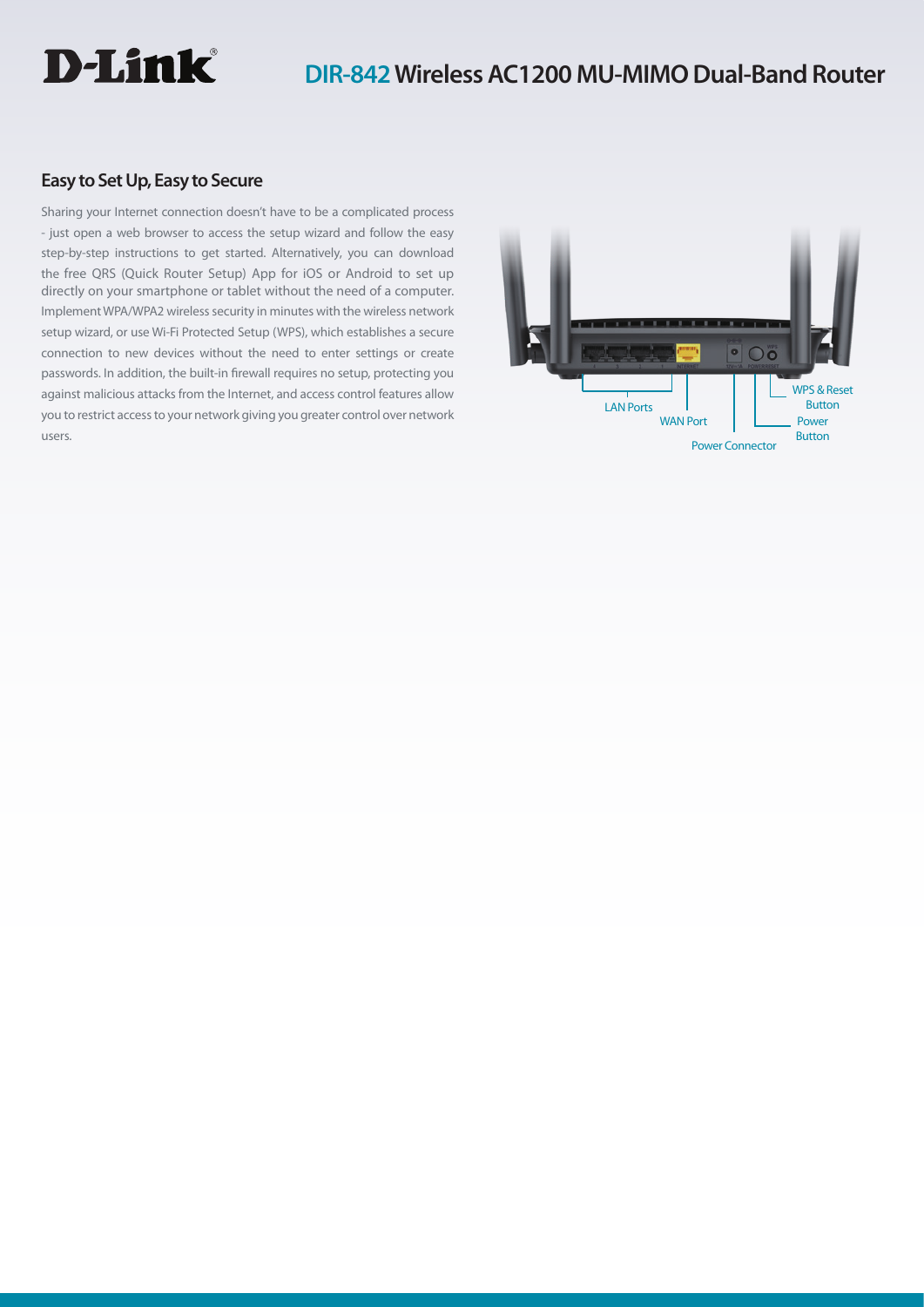

## **Easy to Set Up, Easy to Secure**

Sharing your Internet connection doesn't have to be a complicated process - just open a web browser to access the setup wizard and follow the easy step-by-step instructions to get started. Alternatively, you can download the free QRS (Quick Router Setup) App for iOS or Android to set up directly on your smartphone or tablet without the need of a computer. Implement WPA/WPA2 wireless security in minutes with the wireless network setup wizard, or use Wi-Fi Protected Setup (WPS), which establishes a secure connection to new devices without the need to enter settings or create passwords. In addition, the built-in firewall requires no setup, protecting you against malicious attacks from the Internet, and access control features allow you to restrict access to your network giving you greater control over network users.